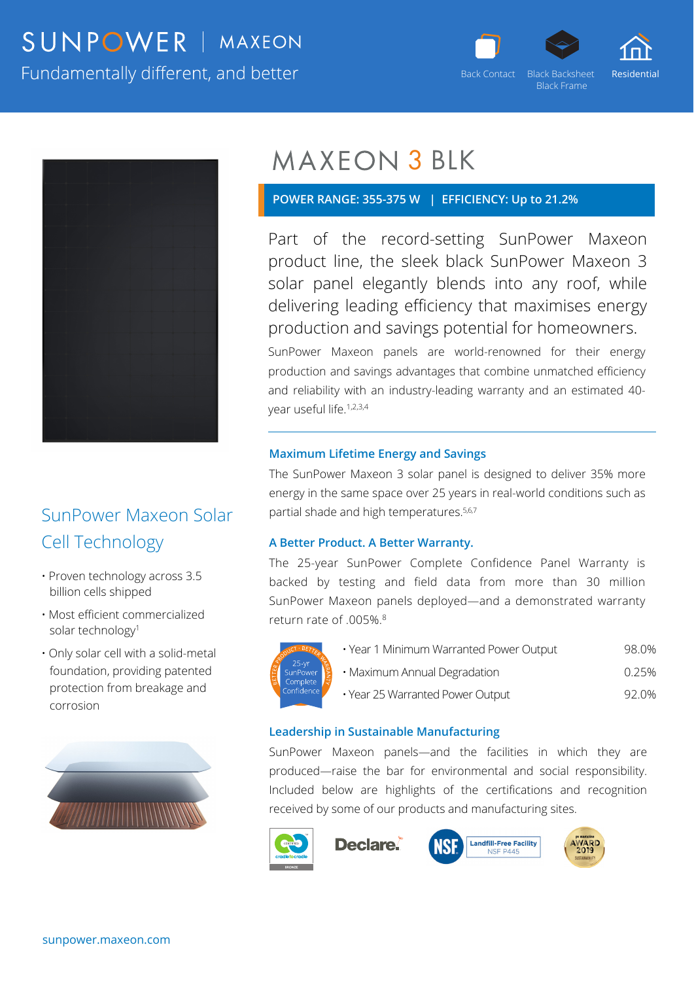## SUNPOWER | MAXEON Fundamentally different, and better



Black Frame



## SunPower Maxeon Solar Cell Technology

- Proven technology across 3.5 billion cells shipped
- Most efficient commercialized solar technology<sup>1</sup>
- Only solar cell with a solid-metal foundation, providing patented protection from breakage and corrosion



# **MAXEON 3 BLK**

### **POWER RANGE: 355-375 W | EFFICIENCY: Up to 21.2%**

Part of the record-setting SunPower Maxeon product line, the sleek black SunPower Maxeon 3 solar panel elegantly blends into any roof, while delivering leading efficiency that maximises energy production and savings potential for homeowners.

SunPower Maxeon panels are world-renowned for their energy production and savings advantages that combine unmatched efficiency and reliability with an industry-leading warranty and an estimated 40 year useful life.1,2,3,4

#### **Maximum Lifetime Energy and Savings**

The SunPower Maxeon 3 solar panel is designed to deliver 35% more energy in the same space over 25 years in real-world conditions such as partial shade and high temperatures.<sup>5,6,7</sup>

#### **A Better Product. A Better Warranty.**

The 25-year SunPower Complete Confidence Panel Warranty is backed by testing and field data from more than 30 million SunPower Maxeon panels deployed—and a demonstrated warranty return rate of .005%.8



|  | · Year 1 Minimum Warranted Power Output | 98.0% |
|--|-----------------------------------------|-------|

- Maximum Annual Degradation **compared 10.25%**
- Year 25 Warranted Power Output 92.0%

#### **Leadership in Sustainable Manufacturing**

SunPower Maxeon panels—and the facilities in which they are produced—raise the bar for environmental and social responsibility. Included below are highlights of the certifications and recognition received by some of our products and manufacturing sites.